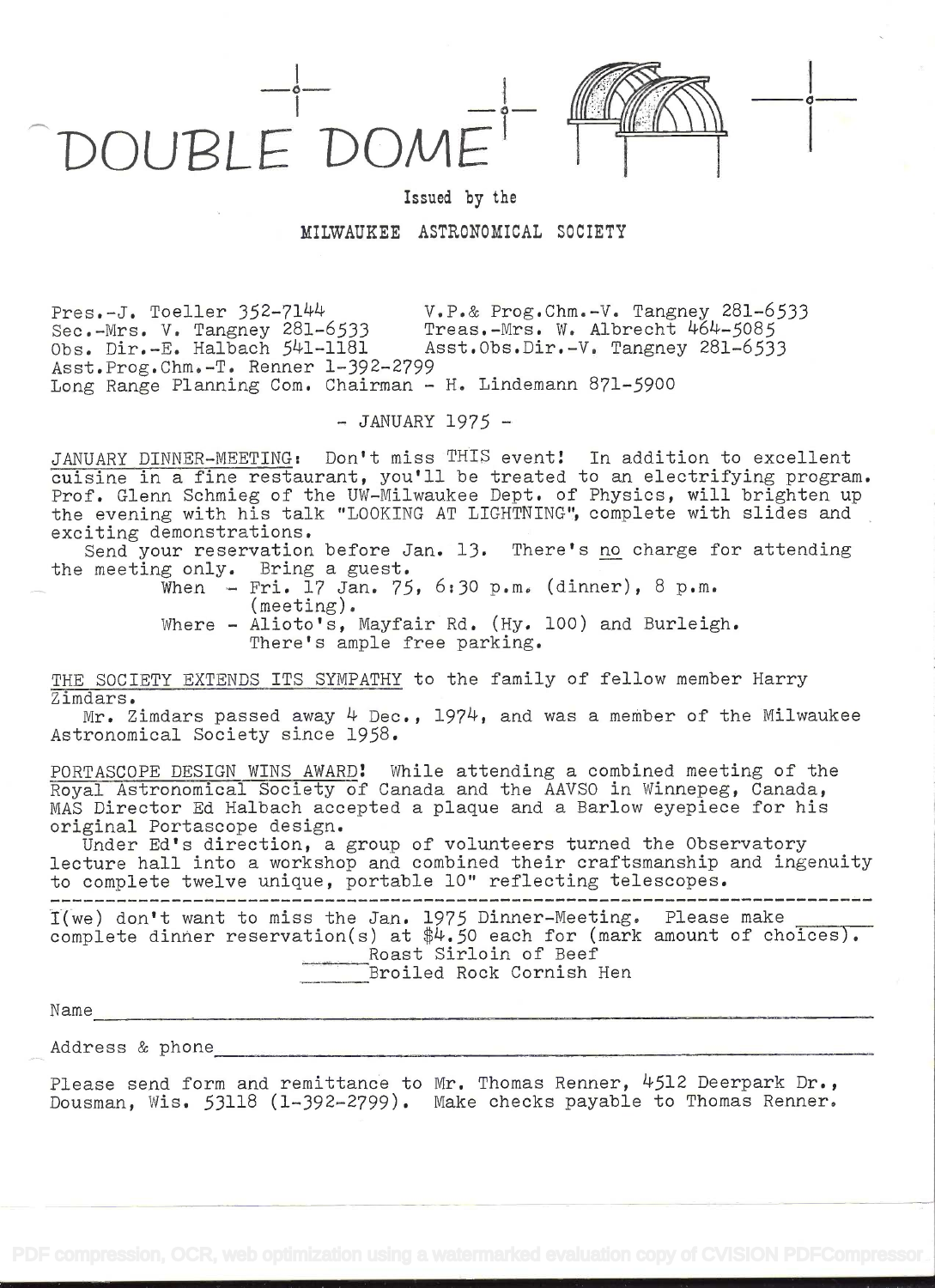DOUPLEDOME'



i

Issued by the

MILWAUKEE ASTRONOMICAL SOCIETY

Pres.-J. Toeller  $352-7144$ <br>Sec.-Mrs. V. Tangney 281-6533 Treas.-Mrs. W. Albrecht  $464-5085$ Sec.-Mrs. V. Tangney 281-6533<br>Obs. Dir.-E. Halbach 541-1181 Asst.Obs.Dir.-V. Tangney 281-6533 Asst.Prog.Chm.-T. Renner 1-392--2799 Long Range Planning Com. Chairman - H. Lindemann 871-5900

 $-JANUARY$  1975 -

JANUARY DINNER-MEETING: Don't miss THIS eventi In addition to excellent cuisine in a Íine restaurant, you'll be treated to an electrifying program. Prof. Glenn Schmieg of the UW-Milwaukee Dept. of Physics, will brighten up the evening with his talk "LOOKING AT LIGHTNING", complete with slides and exciting demonstrations.

Send your reservation before Jan. 13. There's no charge for attending the meeting only. Bring a guest.

- When  $-$  Fri. 17 Jan. 75, 6:30 p.m. (dinner), 8 p.m. (meeting).
- Where Alioto's, Mayfair Rd. (Hy. 100) and Burleigh. There's ample free parking.

THE SOCIETY EXTENDS ITS SYMPATHY to the family of fellow member Harry Zimdars.

Mr. Zimdars passed away  $4$  Dec., 1974, and was a member of the Milwaukee Astronomical Society since 1958.

PORTASCOPE DESIGN WINS AWARD! While attending a combined meeting of' the Royal Astronomical Society of Canada and the AAVSO in Winnepeg, Canada, MAS Director Ed Halbach accepted a plaque and a Barlow eyepiece for his original Portascope design.

Under Ed's direction, a group of volunteers turned the Observatory lecture hall into a workshop and combined their craftsmanship and ingenuity to complete twelve unique, portable 10" reflecting telescopes.

I(we) don't want to miss the Jan. 1975 Dinner-Meeting. Please make complete dinner reservation(s) at  $\frac{4}{4}$ .50 each for (mark amount of choices). Roast Sirloin of Beef Broiled Rock Cornish Hen

N ame

Address & phone

Please send form and remittance to Mr. Thomas Renner,  $4512$  Deerpark Dr., Dousman, Wis. 53118 (1-392-2799). Make checks payable to Thomas Renner.